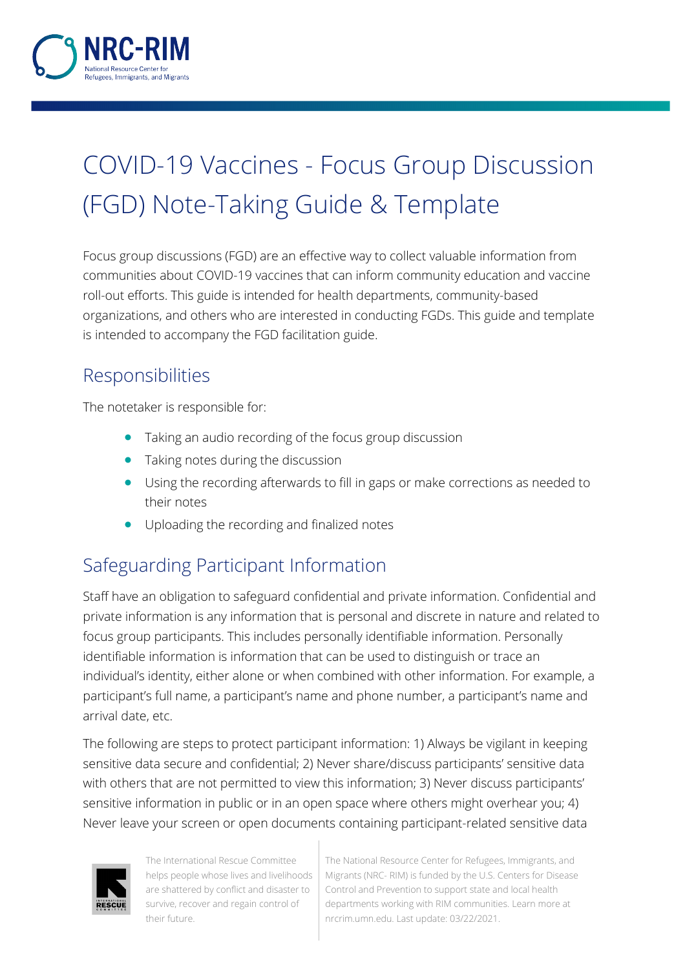

# COVID-19 Vaccines - Focus Group Discussion (FGD) Note-Taking Guide & Template

Focus group discussions (FGD) are an effective way to collect valuable information from communities about COVID-19 vaccines that can inform community education and vaccine roll-out efforts. This guide is intended for health departments, community-based organizations, and others who are interested in conducting FGDs. This guide and template is intended to accompany the FGD facilitation guide.

#### Responsibilities

The notetaker is responsible for:

- Taking an audio recording of the focus group discussion
- Taking notes during the discussion
- Using the recording afterwards to fill in gaps or make corrections as needed to their notes
- Uploading the recording and finalized notes

## Safeguarding Participant Information

Staff have an obligation to safeguard confidential and private information. Confidential and private information is any information that is personal and discrete in nature and related to focus group participants. This includes personally identifiable information. Personally identifiable information is information that can be used to distinguish or trace an individual's identity, either alone or when combined with other information. For example, a participant's full name, a participant's name and phone number, a participant's name and arrival date, etc.

The following are steps to protect participant information: 1) Always be vigilant in keeping sensitive data secure and confidential; 2) Never share/discuss participants' sensitive data with others that are not permitted to view this information; 3) Never discuss participants' sensitive information in public or in an open space where others might overhear you; 4) Never leave your screen or open documents containing participant-related sensitive data



The International Rescue Committee helps people whose lives and livelihoods are shattered by conflict and disaster to survive, recover and regain control of their future.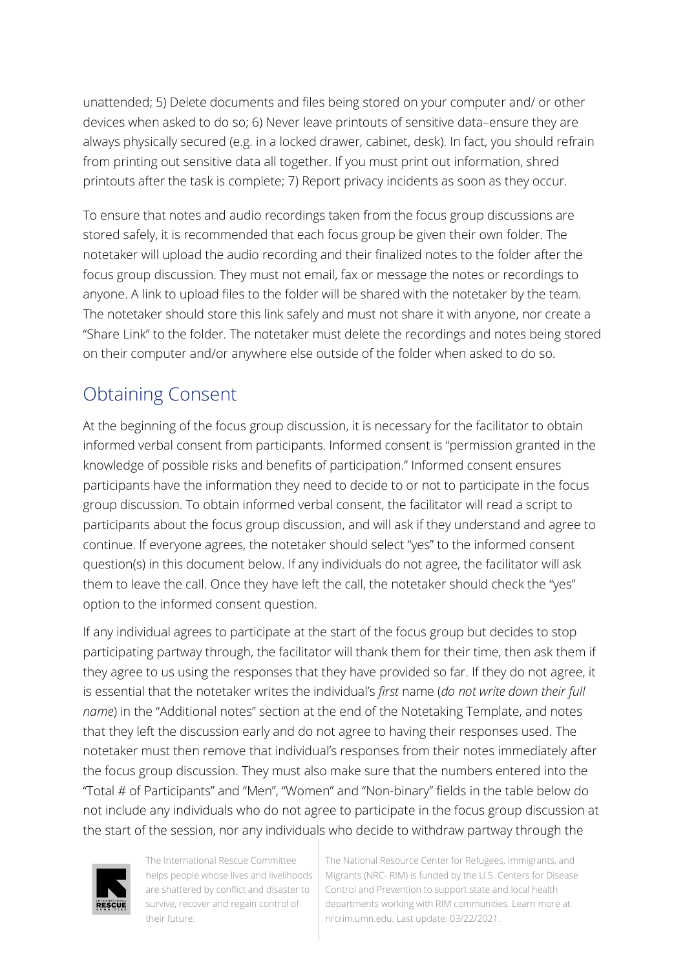unattended; 5) Delete documents and files being stored on your computer and/ or other devices when asked to do so; 6) Never leave printouts of sensitive data–ensure they are always physically secured (e.g. in a locked drawer, cabinet, desk). In fact, you should refrain from printing out sensitive data all together. If you must print out information, shred printouts after the task is complete; 7) Report privacy incidents as soon as they occur.

To ensure that notes and audio recordings taken from the focus group discussions are stored safely, it is recommended that each focus group be given their own folder. The notetaker will upload the audio recording and their finalized notes to the folder after the focus group discussion. They must not email, fax or message the notes or recordings to anyone. A link to upload files to the folder will be shared with the notetaker by the team. The notetaker should store this link safely and must not share it with anyone, nor create a "Share Link" to the folder. The notetaker must delete the recordings and notes being stored on their computer and/or anywhere else outside of the folder when asked to do so.

## Obtaining Consent

At the beginning of the focus group discussion, it is necessary for the facilitator to obtain informed verbal consent from participants. Informed consent is "permission granted in the knowledge of possible risks and benefits of participation." Informed consent ensures participants have the information they need to decide to or not to participate in the focus group discussion. To obtain informed verbal consent, the facilitator will read a script to participants about the focus group discussion, and will ask if they understand and agree to continue. If everyone agrees, the notetaker should select "yes" to the informed consent question(s) in this document below. If any individuals do not agree, the facilitator will ask them to leave the call. Once they have left the call, the notetaker should check the "yes" option to the informed consent question.

If any individual agrees to participate at the start of the focus group but decides to stop participating partway through, the facilitator will thank them for their time, then ask them if they agree to us using the responses that they have provided so far. If they do not agree, it is essential that the notetaker writes the individual's *first* name (*do not write down their full name*) in the "Additional notes" section at the end of the Notetaking Template, and notes that they left the discussion early and do not agree to having their responses used. The notetaker must then remove that individual's responses from their notes immediately after the focus group discussion. They must also make sure that the numbers entered into the "Total # of Participants" and "Men", "Women" and "Non-binary" fields in the table below do not include any individuals who do not agree to participate in the focus group discussion at the start of the session, nor any individuals who decide to withdraw partway through the



The International Rescue Committee helps people whose lives and livelihoods are shattered by conflict and disaster to survive, recover and regain control of their future.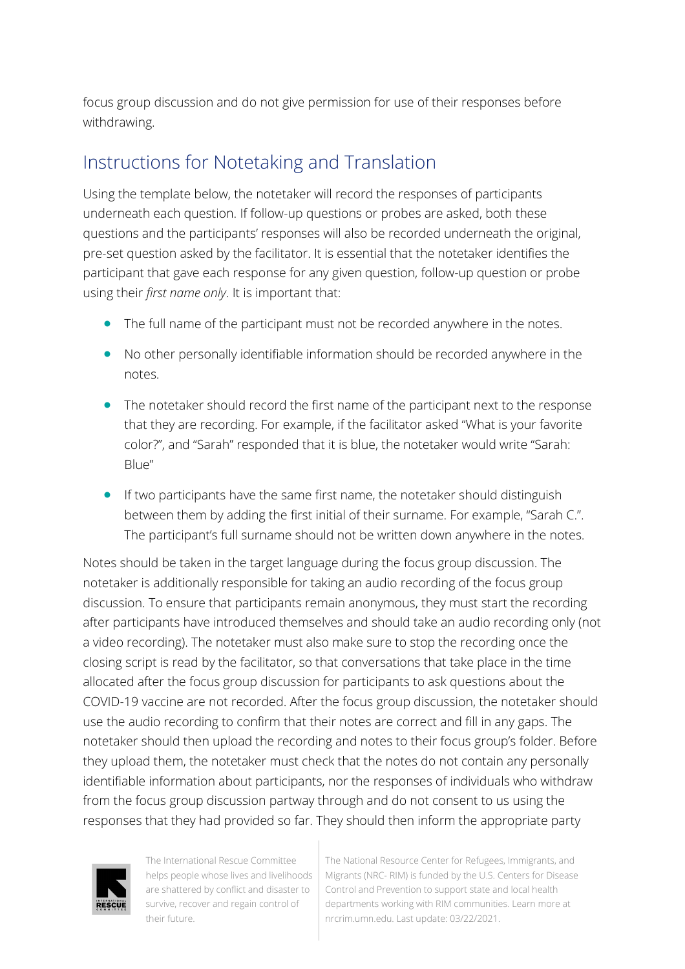focus group discussion and do not give permission for use of their responses before withdrawing.

## Instructions for Notetaking and Translation

Using the template below, the notetaker will record the responses of participants underneath each question. If follow-up questions or probes are asked, both these questions and the participants' responses will also be recorded underneath the original, pre-set question asked by the facilitator. It is essential that the notetaker identifies the participant that gave each response for any given question, follow-up question or probe using their *first name only*. It is important that:

- The full name of the participant must not be recorded anywhere in the notes.
- No other personally identifiable information should be recorded anywhere in the notes.
- The notetaker should record the first name of the participant next to the response that they are recording. For example, if the facilitator asked "What is your favorite color?", and "Sarah" responded that it is blue, the notetaker would write "Sarah: Blue"
- If two participants have the same first name, the notetaker should distinguish between them by adding the first initial of their surname. For example, "Sarah C.". The participant's full surname should not be written down anywhere in the notes.

Notes should be taken in the target language during the focus group discussion. The notetaker is additionally responsible for taking an audio recording of the focus group discussion. To ensure that participants remain anonymous, they must start the recording after participants have introduced themselves and should take an audio recording only (not a video recording). The notetaker must also make sure to stop the recording once the closing script is read by the facilitator, so that conversations that take place in the time allocated after the focus group discussion for participants to ask questions about the COVID-19 vaccine are not recorded. After the focus group discussion, the notetaker should use the audio recording to confirm that their notes are correct and fill in any gaps. The notetaker should then upload the recording and notes to their focus group's folder. Before they upload them, the notetaker must check that the notes do not contain any personally identifiable information about participants, nor the responses of individuals who withdraw from the focus group discussion partway through and do not consent to us using the responses that they had provided so far. They should then inform the appropriate party



The International Rescue Committee helps people whose lives and livelihoods are shattered by conflict and disaster to survive, recover and regain control of their future.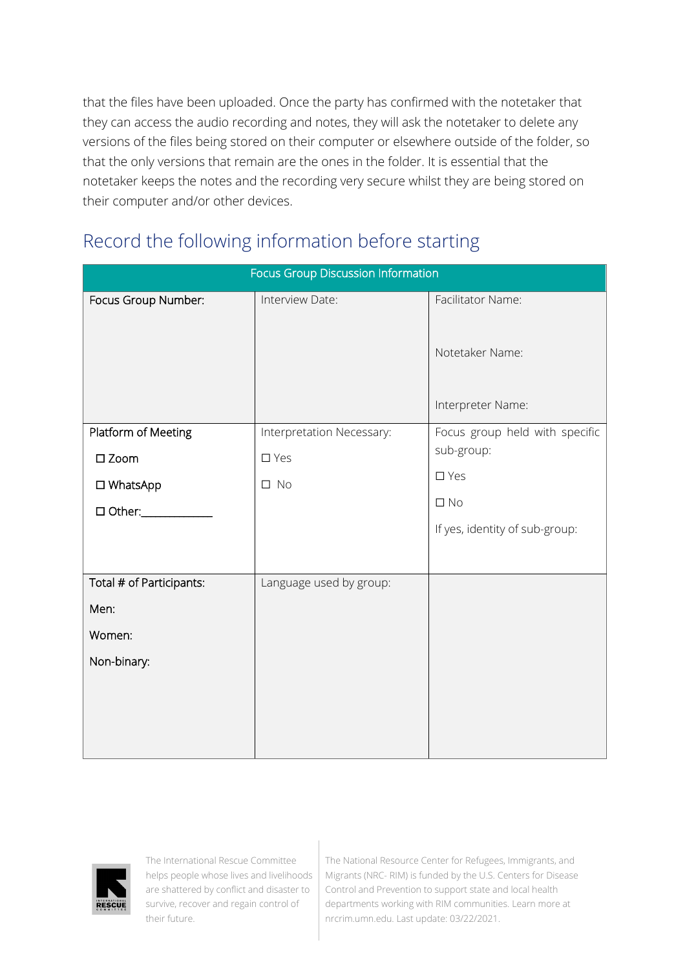that the files have been uploaded. Once the party has confirmed with the notetaker that they can access the audio recording and notes, they will ask the notetaker to delete any versions of the files being stored on their computer or elsewhere outside of the folder, so that the only versions that remain are the ones in the folder. It is essential that the notetaker keeps the notes and the recording very secure whilst they are being stored on their computer and/or other devices.

## Record the following information before starting

| Focus Group Discussion Information |                           |                                      |
|------------------------------------|---------------------------|--------------------------------------|
| Focus Group Number:                | Interview Date:           | Facilitator Name:                    |
|                                    |                           | Notetaker Name:<br>Interpreter Name: |
| Platform of Meeting                | Interpretation Necessary: | Focus group held with specific       |
| $\square$ Zoom                     | $\square$ Yes             | sub-group:                           |
| □ WhatsApp                         | $\square$ No              | $\square$ Yes                        |
| $\Box$ Other:                      |                           | $\square$ No                         |
|                                    |                           | If yes, identity of sub-group:       |
|                                    |                           |                                      |
| Total # of Participants:           | Language used by group:   |                                      |
| Men:                               |                           |                                      |
| Women:                             |                           |                                      |
| Non-binary:                        |                           |                                      |
|                                    |                           |                                      |
|                                    |                           |                                      |
|                                    |                           |                                      |



The International Rescue Committee helps people whose lives and livelihoods are shattered by conflict and disaster to survive, recover and regain control of their future.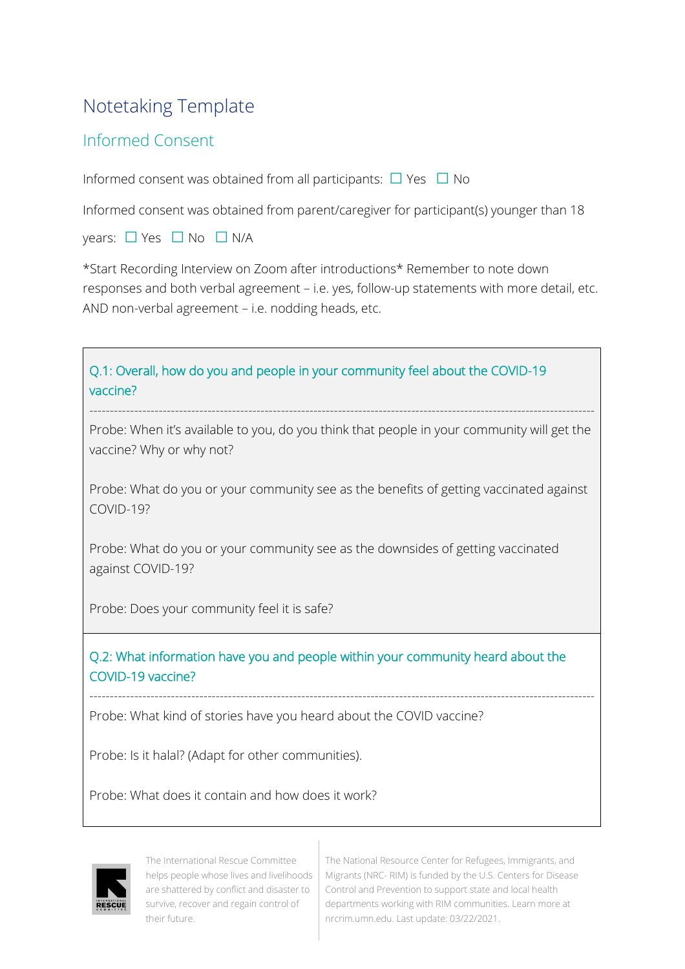## Notetaking Template

#### Informed Consent

Informed consent was obtained from all participants:  $\Box$  Yes  $\Box$  No

Informed consent was obtained from parent/caregiver for participant(s) younger than 18

years: □ Yes □ No □ N/A

\*Start Recording Interview on Zoom after introductions\* Remember to note down responses and both verbal agreement – i.e. yes, follow-up statements with more detail, etc. AND non-verbal agreement – i.e. nodding heads, etc.





The International Rescue Committee helps people whose lives and livelihoods are shattered by conflict and disaster to survive, recover and regain control of their future.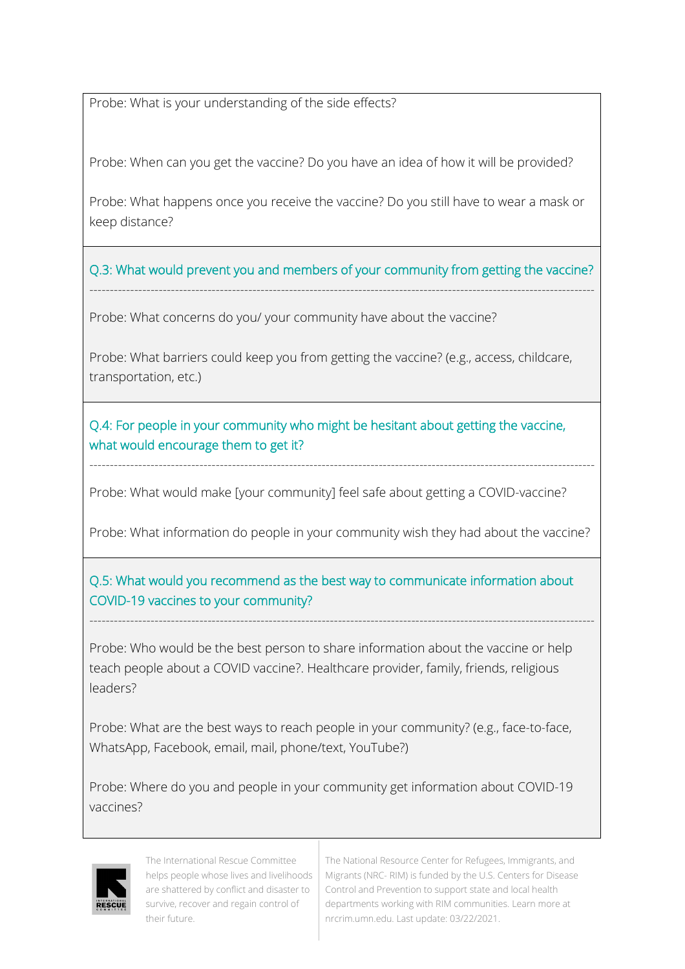Probe: What is your understanding of the side effects?

Probe: When can you get the vaccine? Do you have an idea of how it will be provided?

Probe: What happens once you receive the vaccine? Do you still have to wear a mask or keep distance?

Q.3: What would prevent you and members of your community from getting the vaccine? ----------------------------------------------------------------------------------------------------------------------------

Probe: What concerns do you/ your community have about the vaccine?

Probe: What barriers could keep you from getting the vaccine? (e.g., access, childcare, transportation, etc.)

Q.4: For people in your community who might be hesitant about getting the vaccine, what would encourage them to get it?

Probe: What would make [your community] feel safe about getting a COVID-vaccine?

Probe: What information do people in your community wish they had about the vaccine?

----------------------------------------------------------------------------------------------------------------------------

#### Q.5: What would you recommend as the best way to communicate information about COVID-19 vaccines to your community?

----------------------------------------------------------------------------------------------------------------------------

Probe: Who would be the best person to share information about the vaccine or help teach people about a COVID vaccine?. Healthcare provider, family, friends, religious leaders?

Probe: What are the best ways to reach people in your community? (e.g., face-to-face, WhatsApp, Facebook, email, mail, phone/text, YouTube?)

Probe: Where do you and people in your community get information about COVID-19 vaccines?



The International Rescue Committee helps people whose lives and livelihoods are shattered by conflict and disaster to survive, recover and regain control of their future.